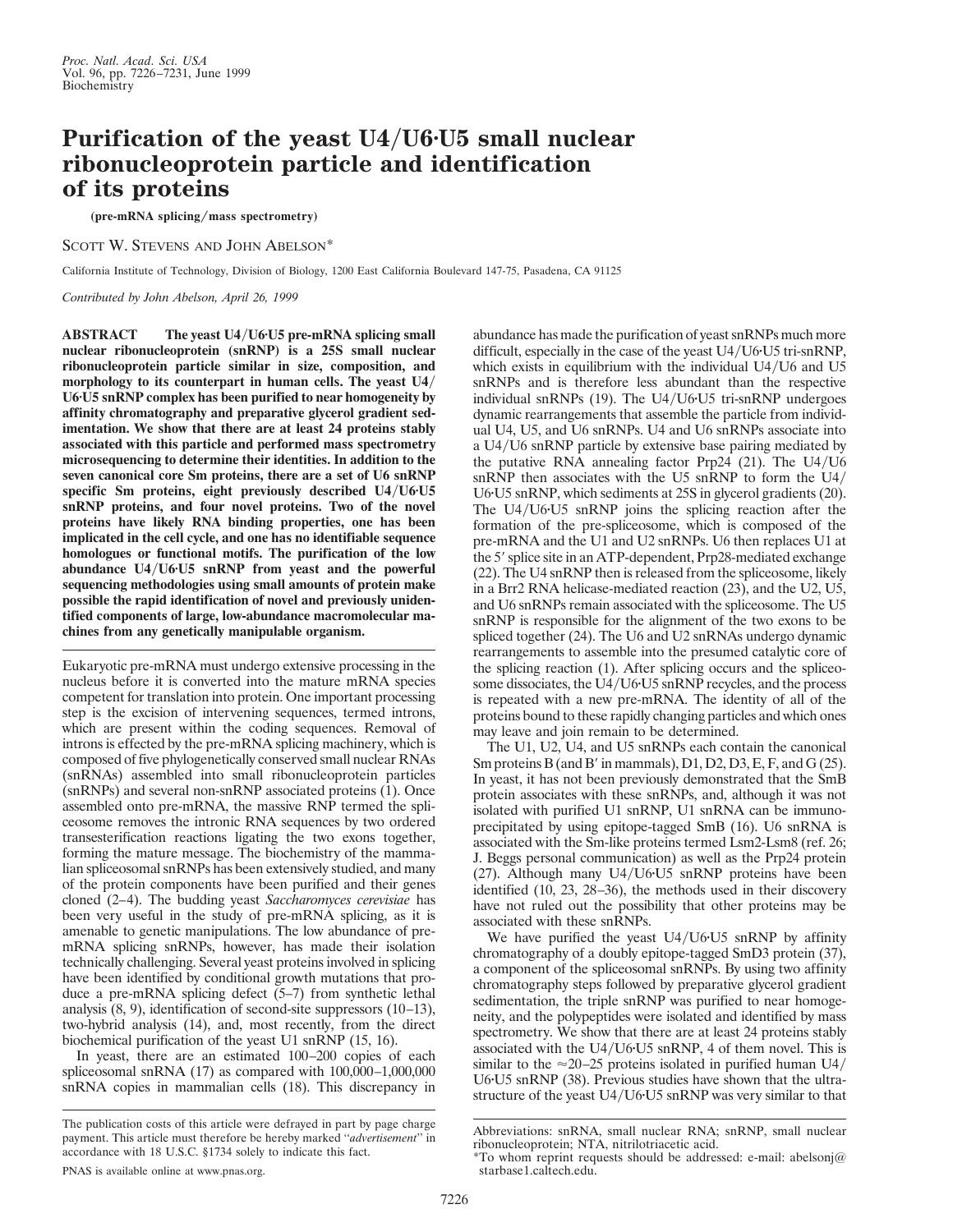## **Purification of the yeast U4/U6<sup>***v***U5</sup> small nuclear ribonucleoprotein particle and identification of its proteins**

**(pre-mRNA splicing**y**mass spectrometry)**

SCOTT W. STEVENS AND JOHN ABELSON\*

California Institute of Technology, Division of Biology, 1200 East California Boulevard 147-75, Pasadena, CA 91125

*Contributed by John Abelson, April 26, 1999*

ABSTRACT The yeast U4/U6<sup>*v*</sup>U5 pre-mRNA splicing small **nuclear ribonucleoprotein (snRNP) is a 25S small nuclear ribonucleoprotein particle similar in size, composition, and morphology to its counterpart in human cells. The yeast U4/ U6**z**U5 snRNP complex has been purified to near homogeneity by affinity chromatography and preparative glycerol gradient sedimentation. We show that there are at least 24 proteins stably associated with this particle and performed mass spectrometry microsequencing to determine their identities. In addition to the seven canonical core Sm proteins, there are a set of U6 snRNP** specific Sm proteins, eight previously described U4/U6<sup>*v*</sup>U5</sub> **snRNP proteins, and four novel proteins. Two of the novel proteins have likely RNA binding properties, one has been implicated in the cell cycle, and one has no identifiable sequence homologues or functional motifs. The purification of the low abundance U4**y**U6**z**U5 snRNP from yeast and the powerful sequencing methodologies using small amounts of protein make possible the rapid identification of novel and previously unidentified components of large, low-abundance macromolecular machines from any genetically manipulable organism.**

Eukaryotic pre-mRNA must undergo extensive processing in the nucleus before it is converted into the mature mRNA species competent for translation into protein. One important processing step is the excision of intervening sequences, termed introns, which are present within the coding sequences. Removal of introns is effected by the pre-mRNA splicing machinery, which is composed of five phylogenetically conserved small nuclear RNAs (snRNAs) assembled into small ribonucleoprotein particles (snRNPs) and several non-snRNP associated proteins (1). Once assembled onto pre-mRNA, the massive RNP termed the spliceosome removes the intronic RNA sequences by two ordered transesterification reactions ligating the two exons together, forming the mature message. The biochemistry of the mammalian spliceosomal snRNPs has been extensively studied, and many of the protein components have been purified and their genes cloned (2–4). The budding yeast *Saccharomyces cerevisiae* has been very useful in the study of pre-mRNA splicing, as it is amenable to genetic manipulations. The low abundance of premRNA splicing snRNPs, however, has made their isolation technically challenging. Several yeast proteins involved in splicing have been identified by conditional growth mutations that produce a pre-mRNA splicing defect (5–7) from synthetic lethal analysis (8, 9), identification of second-site suppressors (10–13), two-hybrid analysis (14), and, most recently, from the direct biochemical purification of the yeast U1 snRNP (15, 16).

In yeast, there are an estimated 100–200 copies of each spliceosomal snRNA (17) as compared with 100,000–1,000,000 snRNA copies in mammalian cells (18). This discrepancy in

The publication costs of this article were defrayed in part by page charge payment. This article must therefore be hereby marked ''*advertisement*'' in accordance with 18 U.S.C. §1734 solely to indicate this fact.

abundance has made the purification of yeast snRNPs much more difficult, especially in the case of the yeast  $U4/U6$  $U5$  tri-snRNP, which exists in equilibrium with the individual  $U4/U6$  and  $U5$ snRNPs and is therefore less abundant than the respective individual snRNPs  $(19)$ . The U4/U6·U5 tri-snRNP undergoes dynamic rearrangements that assemble the particle from individual U4, U5, and U6 snRNPs. U4 and U6 snRNPs associate into a U4/U6 snRNP particle by extensive base pairing mediated by the putative RNA annealing factor Prp24  $(21)$ . The U4/U6 snRNP then associates with the U5 snRNP to form the U4/ U6·U5 snRNP, which sediments at 25S in glycerol gradients (20). The  $U4/U6U5$  snRNP joins the splicing reaction after the formation of the pre-spliceosome, which is composed of the pre-mRNA and the U1 and U2 snRNPs. U6 then replaces U1 at the 5' splice site in an ATP-dependent, Prp28-mediated exchange (22). The U4 snRNP then is released from the spliceosome, likely in a Brr2 RNA helicase-mediated reaction (23), and the U2, U5, and U6 snRNPs remain associated with the spliceosome. The U5 snRNP is responsible for the alignment of the two exons to be spliced together (24). The U6 and U2 snRNAs undergo dynamic rearrangements to assemble into the presumed catalytic core of the splicing reaction (1). After splicing occurs and the spliceosome dissociates, the U4/U6·U5 snRNP recycles, and the process is repeated with a new pre-mRNA. The identity of all of the proteins bound to these rapidly changing particles and which ones may leave and join remain to be determined.

The U1, U2, U4, and U5 snRNPs each contain the canonical Sm proteins B (and B' in mammals),  $D1$ ,  $D2$ ,  $D3$ ,  $E$ ,  $F$ , and  $G(25)$ . In yeast, it has not been previously demonstrated that the SmB protein associates with these snRNPs, and, although it was not isolated with purified U1 snRNP, U1 snRNA can be immunoprecipitated by using epitope-tagged SmB (16). U6 snRNA is associated with the Sm-like proteins termed Lsm2-Lsm8 (ref. 26; J. Beggs personal communication) as well as the Prp24 protein (27). Although many  $U4/U6$ · $U5$  snRNP proteins have been identified (10, 23, 28–36), the methods used in their discovery have not ruled out the possibility that other proteins may be associated with these snRNPs.

We have purified the yeast  $U4/U6$ <sup>t</sup> $U5$  snRNP by affinity chromatography of a doubly epitope-tagged SmD3 protein (37), a component of the spliceosomal snRNPs. By using two affinity chromatography steps followed by preparative glycerol gradient sedimentation, the triple snRNP was purified to near homogeneity, and the polypeptides were isolated and identified by mass spectrometry. We show that there are at least 24 proteins stably associated with the U4/U6·U5 snRNP, 4 of them novel. This is similar to the  $\approx$ 20–25 proteins isolated in purified human U4/ U6·U5 snRNP (38). Previous studies have shown that the ultrastructure of the yeast U4/U6·U5 snRNP was very similar to that

Abbreviations: snRNA, small nuclear RNA; snRNP, small nuclear ribonucleoprotein; NTA, nitrilotriacetic acid.

<sup>\*</sup>To whom reprint requests should be addressed: e-mail: abelsonj@ starbase1.caltech.edu.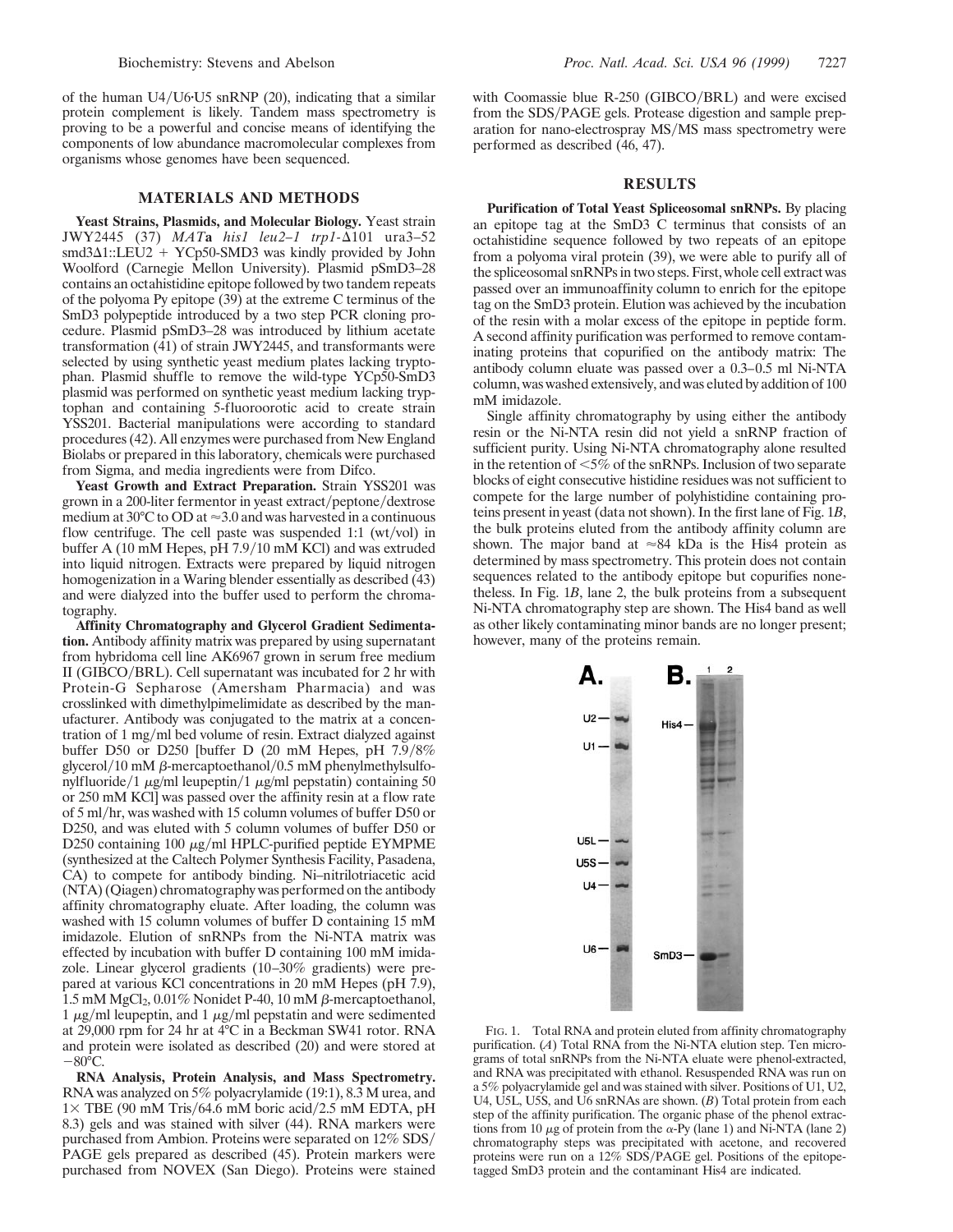of the human  $U4/U6$  $U5$  snRNP (20), indicating that a similar protein complement is likely. Tandem mass spectrometry is proving to be a powerful and concise means of identifying the components of low abundance macromolecular complexes from organisms whose genomes have been sequenced.

## **MATERIALS AND METHODS**

**Yeast Strains, Plasmids, and Molecular Biology.** Yeast strain JWY2445 (37) *MAT***a** *his1* leu2-1 trp1- $\Delta$ 101 ura3-52 smd3 $\Delta$ 1::LEU2 + YCp50-SMD3 was kindly provided by John Woolford (Carnegie Mellon University). Plasmid pSmD3–28 contains an octahistidine epitope followed by two tandem repeats of the polyoma Py epitope (39) at the extreme C terminus of the SmD3 polypeptide introduced by a two step PCR cloning procedure. Plasmid pSmD3–28 was introduced by lithium acetate transformation (41) of strain JWY2445, and transformants were selected by using synthetic yeast medium plates lacking tryptophan. Plasmid shuffle to remove the wild-type YCp50-SmD3 plasmid was performed on synthetic yeast medium lacking tryptophan and containing 5-fluoroorotic acid to create strain YSS201. Bacterial manipulations were according to standard procedures (42). All enzymes were purchased from New England Biolabs or prepared in this laboratory, chemicals were purchased from Sigma, and media ingredients were from Difco.

Yeast Growth and Extract Preparation. Strain YSS201 was grown in a 200-liter fermentor in yeast extract/peptone/dextrose medium at 30 $^{\circ}$ C to OD at  $\approx$  3.0 and was harvested in a continuous flow centrifuge. The cell paste was suspended 1:1 (wt/vol) in buffer A (10 mM Hepes, pH 7.9/10 mM KCl) and was extruded into liquid nitrogen. Extracts were prepared by liquid nitrogen homogenization in a Waring blender essentially as described (43) and were dialyzed into the buffer used to perform the chromatography.

**Affinity Chromatography and Glycerol Gradient Sedimentation.** Antibody affinity matrix was prepared by using supernatant from hybridoma cell line AK6967 grown in serum free medium II (GIBCO/BRL). Cell supernatant was incubated for 2 hr with Protein-G Sepharose (Amersham Pharmacia) and was crosslinked with dimethylpimelimidate as described by the manufacturer. Antibody was conjugated to the matrix at a concentration of 1 mg/ml bed volume of resin. Extract dialyzed against buffer D50 or D250 [buffer D  $(20 \text{ mM Hepes, pH } 7.9/8\%)$ glycerol/10 mM  $\beta$ -mercaptoethanol/0.5 mM phenylmethylsulfonylfluoride/1  $\mu$ g/ml leupeptin/1  $\mu$ g/ml pepstatin) containing 50 or 250 mM KCl] was passed over the affinity resin at a flow rate of 5 ml/hr, was washed with 15 column volumes of buffer D50 or D250, and was eluted with 5 column volumes of buffer D50 or D250 containing 100  $\mu$ g/ml HPLC-purified peptide EYMPME (synthesized at the Caltech Polymer Synthesis Facility, Pasadena, CA) to compete for antibody binding. Ni–nitrilotriacetic acid (NTA) (Qiagen) chromatography was performed on the antibody affinity chromatography eluate. After loading, the column was washed with 15 column volumes of buffer D containing 15 mM imidazole. Elution of snRNPs from the Ni-NTA matrix was effected by incubation with buffer D containing 100 mM imidazole. Linear glycerol gradients (10–30% gradients) were prepared at various KCl concentrations in 20 mM Hepes (pH 7.9),  $1.5 \text{ mM MgCl}_2$ , 0.01% Nonidet P-40, 10 mM  $\beta$ -mercaptoethanol,  $1 \mu g/ml$  leupeptin, and  $1 \mu g/ml$  pepstatin and were sedimented at 29,000 rpm for 24 hr at 4°C in a Beckman SW41 rotor. RNA and protein were isolated as described (20) and were stored at  $-80$ °C.

**RNA Analysis, Protein Analysis, and Mass Spectrometry.** RNA was analyzed on 5% polyacrylamide (19:1), 8.3 M urea, and  $1\times$  TBE (90 mM Tris/64.6 mM boric acid/2.5 mM EDTA, pH 8.3) gels and was stained with silver (44). RNA markers were purchased from Ambion. Proteins were separated on  $12\%$  SDS/ PAGE gels prepared as described (45). Protein markers were purchased from NOVEX (San Diego). Proteins were stained with Coomassie blue R-250 (GIBCO/BRL) and were excised from the SDS/PAGE gels. Protease digestion and sample preparation for nano-electrospray MS/MS mass spectrometry were performed as described (46, 47).

## **RESULTS**

**Purification of Total Yeast Spliceosomal snRNPs.** By placing an epitope tag at the SmD3 C terminus that consists of an octahistidine sequence followed by two repeats of an epitope from a polyoma viral protein (39), we were able to purify all of the spliceosomal snRNPs in two steps. First, whole cell extract was passed over an immunoaffinity column to enrich for the epitope tag on the SmD3 protein. Elution was achieved by the incubation of the resin with a molar excess of the epitope in peptide form. A second affinity purification was performed to remove contaminating proteins that copurified on the antibody matrix: The antibody column eluate was passed over a 0.3–0.5 ml Ni-NTA column, was washed extensively, and was eluted by addition of 100 mM imidazole.

Single affinity chromatography by using either the antibody resin or the Ni-NTA resin did not yield a snRNP fraction of sufficient purity. Using Ni-NTA chromatography alone resulted in the retention of  $\leq 5\%$  of the snRNPs. Inclusion of two separate blocks of eight consecutive histidine residues was not sufficient to compete for the large number of polyhistidine containing proteins present in yeast (data not shown). In the first lane of Fig. 1*B*, the bulk proteins eluted from the antibody affinity column are shown. The major band at  $\approx 84$  kDa is the His4 protein as determined by mass spectrometry. This protein does not contain sequences related to the antibody epitope but copurifies nonetheless. In Fig. 1*B*, lane 2, the bulk proteins from a subsequent Ni-NTA chromatography step are shown. The His4 band as well as other likely contaminating minor bands are no longer present; however, many of the proteins remain.



FIG. 1. Total RNA and protein eluted from affinity chromatography purification. (*A*) Total RNA from the Ni-NTA elution step. Ten micrograms of total snRNPs from the Ni-NTA eluate were phenol-extracted, and RNA was precipitated with ethanol. Resuspended RNA was run on a 5% polyacrylamide gel and was stained with silver. Positions of U1, U2, U4, U5L, U5S, and U6 snRNAs are shown. (*B*) Total protein from each step of the affinity purification. The organic phase of the phenol extractions from 10  $\mu$ g of protein from the  $\alpha$ -Py (lane 1) and Ni-NTA (lane 2) chromatography steps was precipitated with acetone, and recovered proteins were run on a  $12\%$  SDS/PAGE gel. Positions of the epitopetagged SmD3 protein and the contaminant His4 are indicated.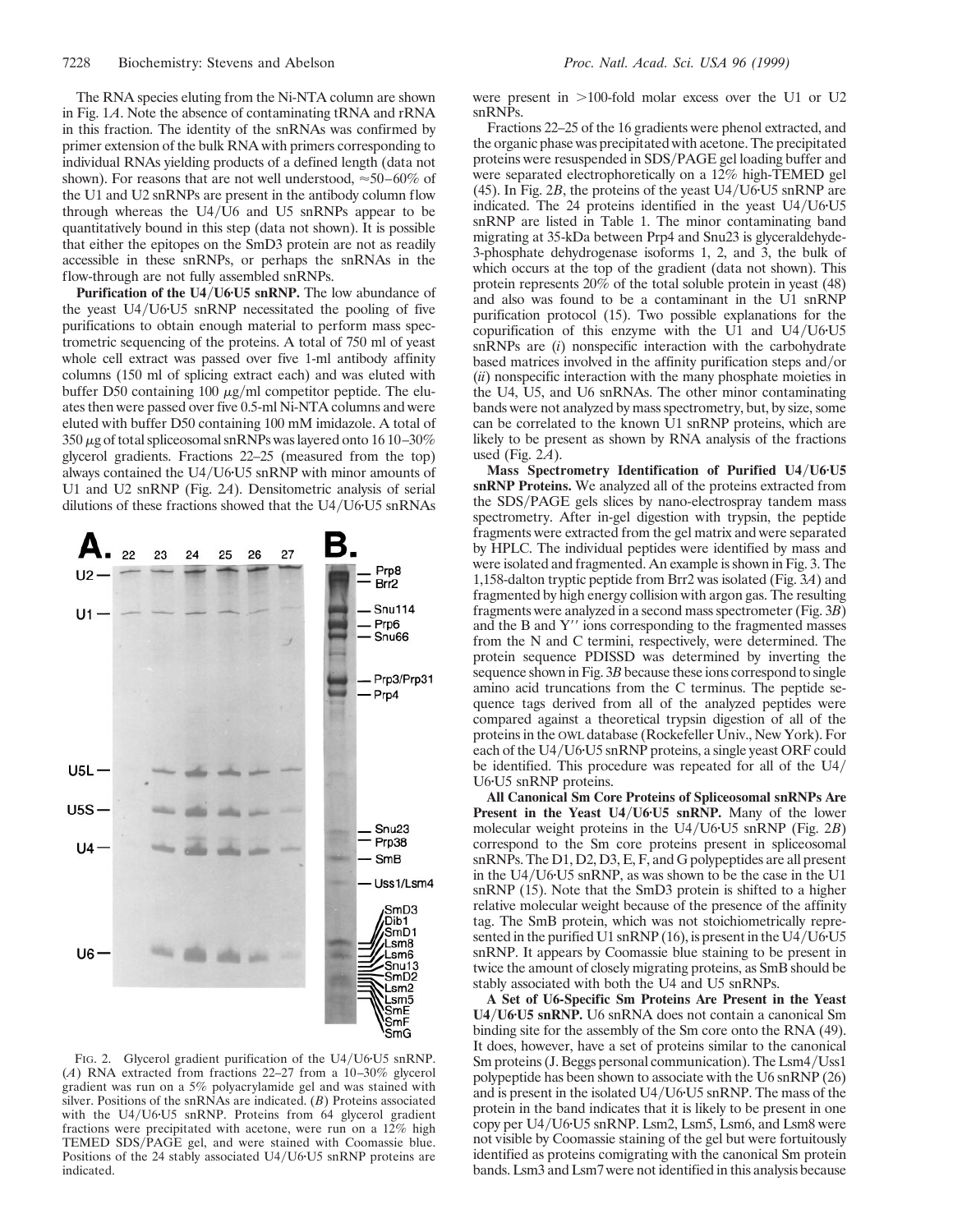The RNA species eluting from the Ni-NTA column are shown in Fig. 1*A*. Note the absence of contaminating tRNA and rRNA in this fraction. The identity of the snRNAs was confirmed by primer extension of the bulk RNA with primers corresponding to individual RNAs yielding products of a defined length (data not shown). For reasons that are not well understood,  $\approx 50-60\%$  of the U1 and U2 snRNPs are present in the antibody column flow through whereas the  $U4/U6$  and  $U5$  snRNPs appear to be quantitatively bound in this step (data not shown). It is possible that either the epitopes on the SmD3 protein are not as readily accessible in these snRNPs, or perhaps the snRNAs in the flow-through are not fully assembled snRNPs.

Purification of the U4/U6<sup>·</sup>U5 snRNP. The low abundance of the yeast  $U4/U6$ <sup>t</sup> $U5$  snRNP necessitated the pooling of five purifications to obtain enough material to perform mass spectrometric sequencing of the proteins. A total of 750 ml of yeast whole cell extract was passed over five 1-ml antibody affinity columns (150 ml of splicing extract each) and was eluted with buffer D50 containing 100  $\mu$ g/ml competitor peptide. The eluates then were passed over five 0.5-ml Ni-NTA columns and were eluted with buffer D50 containing 100 mM imidazole. A total of  $350 \mu$ g of total spliceosomal snRNPs was layered onto 16 10–30% glycerol gradients. Fractions 22–25 (measured from the top) always contained the U4/U6·U5 snRNP with minor amounts of U1 and U2 snRNP (Fig. 2*A*). Densitometric analysis of serial dilutions of these fractions showed that the  $U4/U6$   $U5$  snRNAs



FIG. 2. Glycerol gradient purification of the U4/U6·U5 snRNP. (*A*) RNA extracted from fractions 22–27 from a 10–30% glycerol gradient was run on a 5% polyacrylamide gel and was stained with silver. Positions of the snRNAs are indicated. (*B*) Proteins associated with the U4/U6·U5 snRNP. Proteins from 64 glycerol gradient fractions were precipitated with acetone, were run on a 12% high TEMED SDS/PAGE gel, and were stained with Coomassie blue. Positions of the 24 stably associated U4/U6·U5 snRNP proteins are indicated.

were present in  $>100$ -fold molar excess over the U1 or U2 snRNPs.

Fractions 22–25 of the 16 gradients were phenol extracted, and the organic phase was precipitated with acetone. The precipitated proteins were resuspended in SDS/PAGE gel loading buffer and were separated electrophoretically on a 12% high-TEMED gel (45). In Fig.  $2B$ , the proteins of the yeast U4/U6<sup> $\cdot$ </sup>U5 snRNP are indicated. The  $24$  proteins identified in the yeast U4/U6·U5 snRNP are listed in Table 1. The minor contaminating band migrating at 35-kDa between Prp4 and Snu23 is glyceraldehyde-3-phosphate dehydrogenase isoforms 1, 2, and 3, the bulk of which occurs at the top of the gradient (data not shown). This protein represents 20% of the total soluble protein in yeast (48) and also was found to be a contaminant in the U1 snRNP purification protocol (15). Two possible explanations for the copurification of this enzyme with the U1 and  $U4/U6U5$ snRNPs are (*i*) nonspecific interaction with the carbohydrate based matrices involved in the affinity purification steps and/or (*ii*) nonspecific interaction with the many phosphate moieties in the U4, U5, and U6 snRNAs. The other minor contaminating bands were not analyzed by mass spectrometry, but, by size, some can be correlated to the known U1 snRNP proteins, which are likely to be present as shown by RNA analysis of the fractions used (Fig. 2*A*).

Mass Spectrometry Identification of Purified U4/U6<sup>*v*</sup>U5 **snRNP Proteins.** We analyzed all of the proteins extracted from the SDS/PAGE gels slices by nano-electrospray tandem mass spectrometry. After in-gel digestion with trypsin, the peptide fragments were extracted from the gel matrix and were separated by HPLC. The individual peptides were identified by mass and were isolated and fragmented. An example is shown in Fig. 3. The 1,158-dalton tryptic peptide from Brr2 was isolated (Fig. 3*A*) and fragmented by high energy collision with argon gas. The resulting fragments were analyzed in a second mass spectrometer (Fig. 3*B*) and the B and  $Y''$  ions corresponding to the fragmented masses from the N and C termini, respectively, were determined. The protein sequence PDISSD was determined by inverting the sequence shown in Fig. 3*B* because these ions correspond to single amino acid truncations from the C terminus. The peptide sequence tags derived from all of the analyzed peptides were compared against a theoretical trypsin digestion of all of the proteins in the OWL database (Rockefeller Univ., New York). For each of the U4/U6·U5 snRNP proteins, a single yeast ORF could be identified. This procedure was repeated for all of the  $U4/$ U6·U5 snRNP proteins.

**All Canonical Sm Core Proteins of Spliceosomal snRNPs Are Present in the Yeast U4/U6<sup>·</sup>U5 snRNP.** Many of the lower molecular weight proteins in the U4/U6<sup>-</sup>U5 snRNP (Fig. 2*B*) correspond to the Sm core proteins present in spliceosomal snRNPs. The D1, D2, D3, E, F, and G polypeptides are all present in the  $U4/U6$ <sup>t</sup> $U5$  snRNP, as was shown to be the case in the U1 snRNP (15). Note that the SmD3 protein is shifted to a higher relative molecular weight because of the presence of the affinity tag. The SmB protein, which was not stoichiometrically represented in the purified U1 snRNP (16), is present in the U4/U6·U5 snRNP. It appears by Coomassie blue staining to be present in twice the amount of closely migrating proteins, as SmB should be stably associated with both the U4 and U5 snRNPs.

**A Set of U6-Specific Sm Proteins Are Present in the Yeast U4**y**U6**z**U5 snRNP.** U6 snRNA does not contain a canonical Sm binding site for the assembly of the Sm core onto the RNA (49). It does, however, have a set of proteins similar to the canonical Sm proteins (J. Beggs personal communication). The Lsm4/Uss1 polypeptide has been shown to associate with the U6 snRNP (26) and is present in the isolated  $U4/U6$ · $U5$  snRNP. The mass of the protein in the band indicates that it is likely to be present in one copy per  $U4/U6$ <sup>t</sup> $U5$  snRNP. Lsm2, Lsm5, Lsm6, and Lsm8 were not visible by Coomassie staining of the gel but were fortuitously identified as proteins comigrating with the canonical Sm protein bands. Lsm3 and Lsm7 were not identified in this analysis because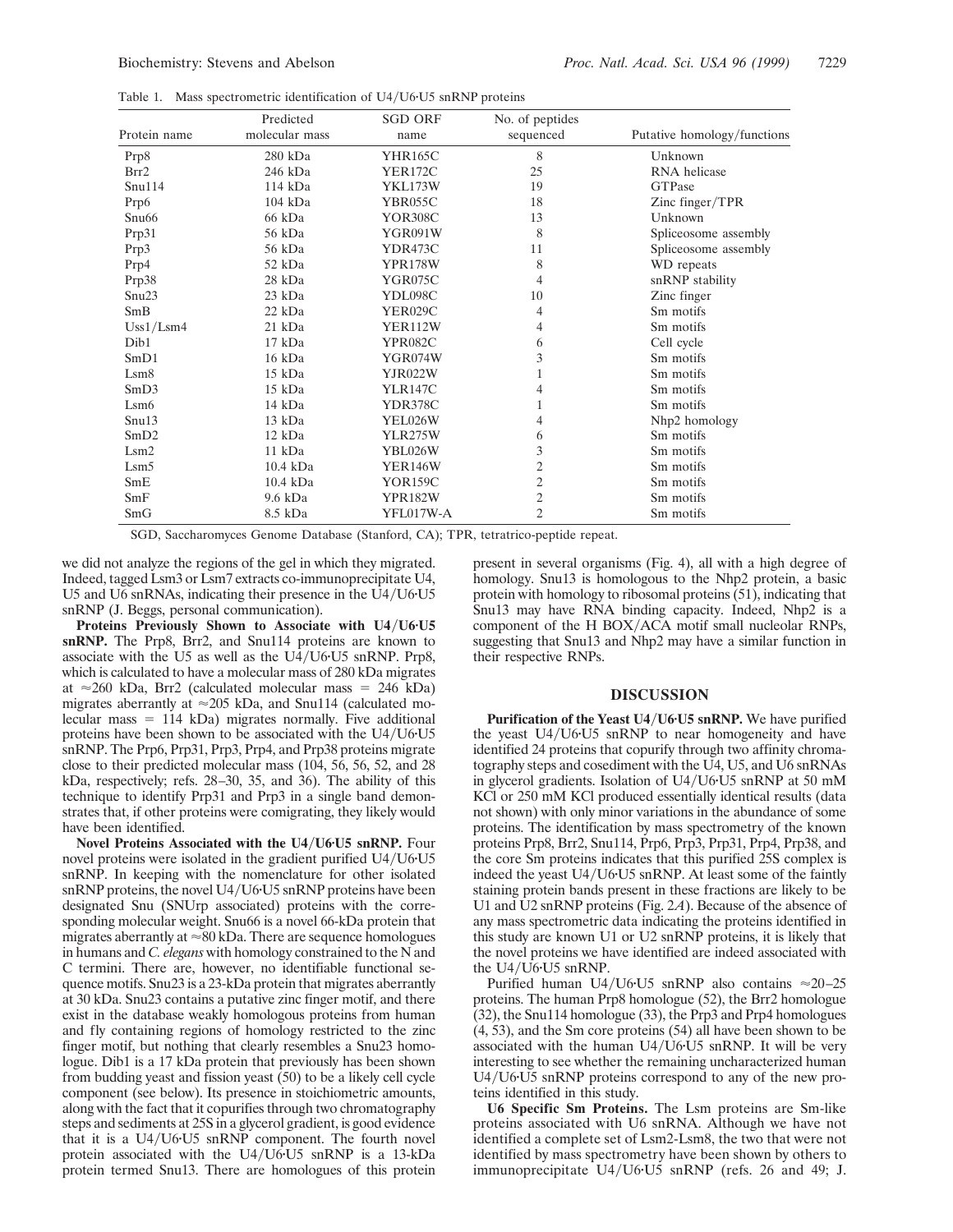| Table 1. |  | Mass spectrometric identification of U4/U6 U5 snRNP proteins |  |  |  |  |  |
|----------|--|--------------------------------------------------------------|--|--|--|--|--|
|----------|--|--------------------------------------------------------------|--|--|--|--|--|

|                   | Predicted      | <b>SGD ORF</b> | No. of peptides |                             |
|-------------------|----------------|----------------|-----------------|-----------------------------|
| Protein name      | molecular mass | name           | sequenced       | Putative homology/functions |
| Prp8              | $280$ kDa      | <b>YHR165C</b> | 8               | Unknown                     |
| Brr2              | 246 kDa        | <b>YER172C</b> | 25              | RNA helicase                |
| Snu114            | 114 kDa        | YKL173W        | 19              | <b>GTPase</b>               |
| Prp6              | $104$ kDa      | YBR055C        | 18              | Zinc finger/TPR             |
| Snu <sub>66</sub> | 66 kDa         | <b>YOR308C</b> | 13              | Unknown                     |
| Prp31             | 56 kDa         | YGR091W        | 8               | Spliceosome assembly        |
| Prp3              | 56 kDa         | YDR473C        | 11              | Spliceosome assembly        |
| Prp4              | 52 kDa         | <b>YPR178W</b> | 8               | WD repeats                  |
| Prp38             | 28 kDa         | YGR075C        | 4               | snRNP stability             |
| Snu23             | 23 kDa         | YDL098C        | 10              | Zinc finger                 |
| SmB               | 22 kDa         | <b>YER029C</b> | 4               | Sm motifs                   |
| Uss1/Lsm4         | 21 kDa         | <b>YER112W</b> | 4               | Sm motifs                   |
| Dib1              | $17$ kDa       | <b>YPR082C</b> | 6               | Cell cycle                  |
| SmD1              | 16 kDa         | YGR074W        | 3               | Sm motifs                   |
| Lsm8              | 15 kDa         | YJR022W        | 1               | Sm motifs                   |
| SmD3              | 15 kDa         | <b>YLR147C</b> | 4               | Sm motifs                   |
| Lsm6              | 14 kDa         | YDR378C        | 1               | Sm motifs                   |
| Snu13             | 13 kDa         | YEL026W        | 4               | Nh <sub>p2</sub> homology   |
| SmD2              | $12$ kDa       | <b>YLR275W</b> | 6               | Sm motifs                   |
| Lsm2              | 11 kDa         | YBL026W        | 3               | Sm motifs                   |
| Lsm5              | 10.4 kDa       | <b>YER146W</b> | 2               | Sm motifs                   |
| SmE               | 10.4 kDa       | <b>YOR159C</b> | 2               | Sm motifs                   |
| SmF               | 9.6 kDa        | <b>YPR182W</b> | 2               | Sm motifs                   |
| SmG               | 8.5 kDa        | YFL017W-A      | 2               | Sm motifs                   |

SGD, Saccharomyces Genome Database (Stanford, CA); TPR, tetratrico-peptide repeat.

we did not analyze the regions of the gel in which they migrated. Indeed, tagged Lsm3 or Lsm7 extracts co-immunoprecipitate U4, U5 and U6 snRNAs, indicating their presence in the  $U4/U6$ <sup>ture</sup> snRNP (J. Beggs, personal communication).

Proteins Previously Shown to Associate with U4/U6<sup>·</sup>U5 **snRNP.** The Prp8, Brr2, and Snu114 proteins are known to associate with the U5 as well as the  $U4/U6$ <sup>t</sup>U5 snRNP. Prp8, which is calculated to have a molecular mass of 280 kDa migrates at  $\approx$ 260 kDa, Brr2 (calculated molecular mass = 246 kDa) migrates aberrantly at  $\approx$  205 kDa, and Snu114 (calculated molecular mass  $= 114$  kDa) migrates normally. Five additional proteins have been shown to be associated with the  $U4/U6$ <sup>ture</sup> snRNP. The Prp6, Prp31, Prp3, Prp4, and Prp38 proteins migrate close to their predicted molecular mass (104, 56, 56, 52, and 28 kDa, respectively; refs. 28–30, 35, and 36). The ability of this technique to identify Prp31 and Prp3 in a single band demonstrates that, if other proteins were comigrating, they likely would have been identified.

**Novel Proteins Associated with the U4/U6<sup>·</sup>U5 snRNP.** Four novel proteins were isolated in the gradient purified U4/U6·U5 snRNP. In keeping with the nomenclature for other isolated snRNP proteins, the novel  $U4/U6$ · $U5$  snRNP proteins have been designated Snu (SNUrp associated) proteins with the corresponding molecular weight. Snu66 is a novel 66-kDa protein that migrates aberrantly at  $\approx 80$  kDa. There are sequence homologues in humans and *C. elegans* with homology constrained to the N and C termini. There are, however, no identifiable functional sequence motifs. Snu23 is a 23-kDa protein that migrates aberrantly at 30 kDa. Snu23 contains a putative zinc finger motif, and there exist in the database weakly homologous proteins from human and fly containing regions of homology restricted to the zinc finger motif, but nothing that clearly resembles a Snu23 homologue. Dib1 is a 17 kDa protein that previously has been shown from budding yeast and fission yeast (50) to be a likely cell cycle component (see below). Its presence in stoichiometric amounts, along with the fact that it copurifies through two chromatography steps and sediments at 25S in a glycerol gradient, is good evidence that it is a  $U4/U6$  $U5$  snRNP component. The fourth novel protein associated with the  $U4/U6$ <sup>t</sup> $U5$  snRNP is a 13-kDa protein termed Snu13. There are homologues of this protein

present in several organisms (Fig. 4), all with a high degree of homology. Snu13 is homologous to the Nhp2 protein, a basic protein with homology to ribosomal proteins (51), indicating that Snu13 may have RNA binding capacity. Indeed, Nhp2 is a component of the H BOX/ACA motif small nucleolar RNPs, suggesting that Snu13 and Nhp2 may have a similar function in their respective RNPs.

## **DISCUSSION**

**Purification of the Yeast U4/U6<sup>***v***U5</sup> snRNP. We have purified** the yeast  $U4/U6U5$  snRNP to near homogeneity and have identified 24 proteins that copurify through two affinity chromatography steps and cosediment with the U4, U5, and U6 snRNAs in glycerol gradients. Isolation of  $U4/U6$ <sup>t</sup> $U5$  snRNP at 50 mM KCl or 250 mM KCl produced essentially identical results (data not shown) with only minor variations in the abundance of some proteins. The identification by mass spectrometry of the known proteins Prp8, Brr2, Snu114, Prp6, Prp3, Prp31, Prp4, Prp38, and the core Sm proteins indicates that this purified 25S complex is indeed the yeast  $U4/U6$ <sup>t</sup> $U5$  snRNP. At least some of the faintly staining protein bands present in these fractions are likely to be U1 and U2 snRNP proteins (Fig. 2*A*). Because of the absence of any mass spectrometric data indicating the proteins identified in this study are known U1 or U2 snRNP proteins, it is likely that the novel proteins we have identified are indeed associated with the  $U4/U6$ <sup>t</sup> $U5$  snRNP.

Purified human U4/U6·U5 snRNP also contains  $\approx$  20–25 proteins. The human Prp8 homologue (52), the Brr2 homologue (32), the Snu114 homologue (33), the Prp3 and Prp4 homologues (4, 53), and the Sm core proteins (54) all have been shown to be associated with the human  $U4/U6$ <sup>t</sup> $U5$  snRNP. It will be very interesting to see whether the remaining uncharacterized human U4/U6·U5 snRNP proteins correspond to any of the new proteins identified in this study.

**U6 Specific Sm Proteins.** The Lsm proteins are Sm-like proteins associated with U6 snRNA. Although we have not identified a complete set of Lsm2-Lsm8, the two that were not identified by mass spectrometry have been shown by others to immunoprecipitate U4/U6·U5 snRNP (refs. 26 and 49; J.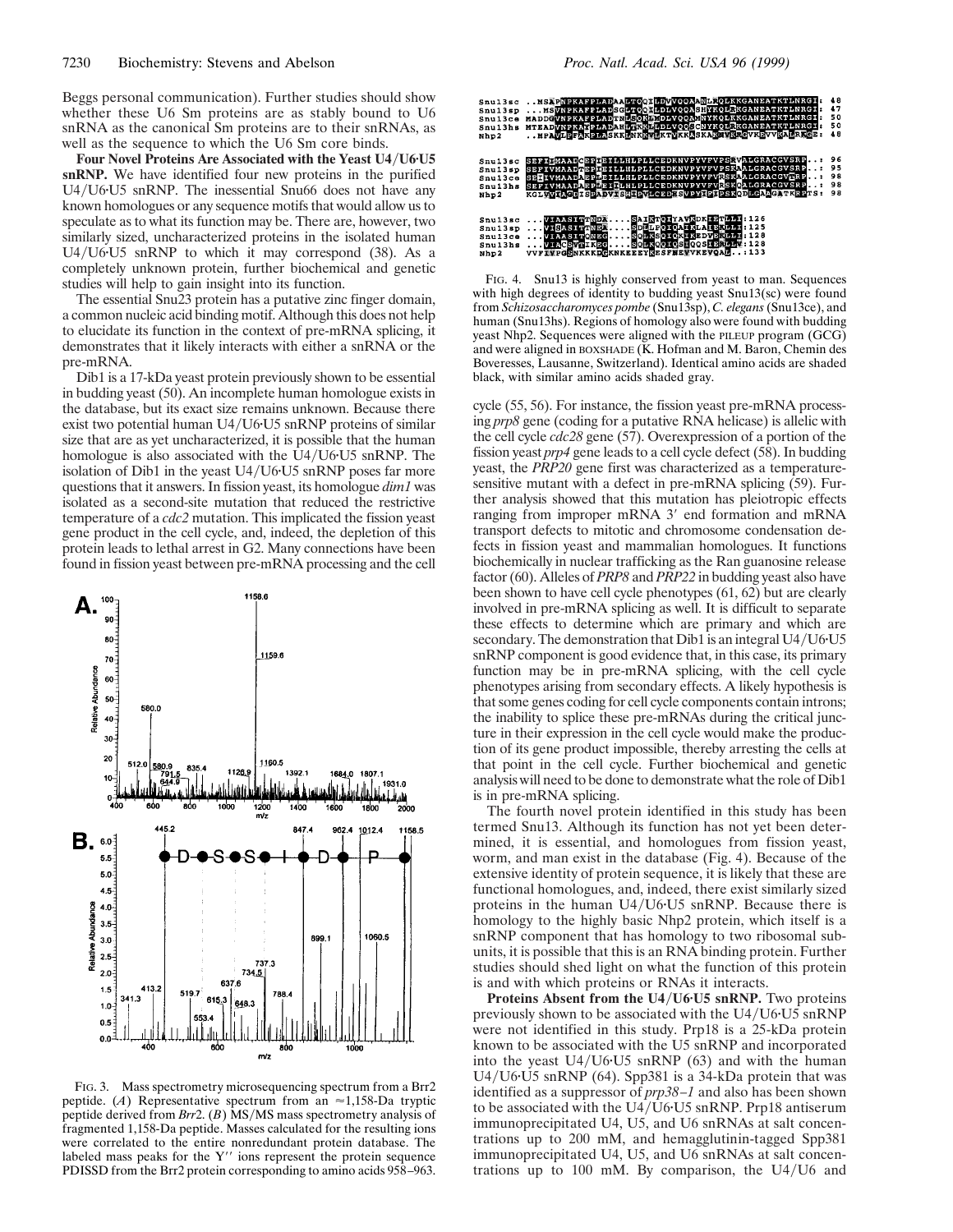Beggs personal communication). Further studies should show whether these U6 Sm proteins are as stably bound to U6 snRNA as the canonical Sm proteins are to their snRNAs, as well as the sequence to which the U6 Sm core binds.

Four Novel Proteins Are Associated with the Yeast U4/U6<sup>*v*</sup>U5</sub> **snRNP.** We have identified four new proteins in the purified  $U4/U6$ <sup>t</sup>U5 snRNP. The inessential Snu66 does not have any known homologues or any sequence motifs that would allow us to speculate as to what its function may be. There are, however, two similarly sized, uncharacterized proteins in the isolated human U4/U6·U5 snRNP to which it may correspond (38). As a completely unknown protein, further biochemical and genetic studies will help to gain insight into its function.

The essential Snu23 protein has a putative zinc finger domain, a common nucleic acid binding motif. Although this does not help to elucidate its function in the context of pre-mRNA splicing, it demonstrates that it likely interacts with either a snRNA or the pre-mRNA.

Dib1 is a 17-kDa yeast protein previously shown to be essential in budding yeast (50). An incomplete human homologue exists in the database, but its exact size remains unknown. Because there exist two potential human  $U4/U6$ <sup>U</sup>U<sub>5</sub> snRNP proteins of similar size that are as yet uncharacterized, it is possible that the human homologue is also associated with the U4/U6·U5 snRNP. The isolation of Dib1 in the yeast  $U4/U6$  $U5$  snRNP poses far more questions that it answers. In fission yeast, its homologue *dim1* was isolated as a second-site mutation that reduced the restrictive temperature of a *cdc2* mutation. This implicated the fission yeast gene product in the cell cycle, and, indeed, the depletion of this protein leads to lethal arrest in G2. Many connections have been found in fission yeast between pre-mRNA processing and the cell



FIG. 3. Mass spectrometry microsequencing spectrum from a Brr2 peptide. (*A*) Representative spectrum from an  $\approx$ 1,158-Da tryptic peptide derived from *Brr*2. (*B*) MS/MS mass spectrometry analysis of fragmented 1,158-Da peptide. Masses calculated for the resulting ions were correlated to the entire nonredundant protein database. The labeled mass peaks for the Y'' ions represent the protein sequence PDISSD from the Brr2 protein corresponding to amino acids 958–963.



FIG. 4. Snu13 is highly conserved from yeast to man. Sequences with high degrees of identity to budding yeast Snu13(sc) were found from *Schizosaccharomyces pombe* (Snu13sp), *C. elegans*(Snu13ce), and human (Snu13hs). Regions of homology also were found with budding yeast Nhp2. Sequences were aligned with the PILEUP program (GCG) and were aligned in BOXSHADE (K. Hofman and M. Baron, Chemin des Boveresses, Lausanne, Switzerland). Identical amino acids are shaded black, with similar amino acids shaded gray.

cycle (55, 56). For instance, the fission yeast pre-mRNA processing *prp8* gene (coding for a putative RNA helicase) is allelic with the cell cycle *cdc28* gene (57). Overexpression of a portion of the fission yeast *prp4* gene leads to a cell cycle defect (58). In budding yeast, the *PRP20* gene first was characterized as a temperaturesensitive mutant with a defect in pre-mRNA splicing (59). Further analysis showed that this mutation has pleiotropic effects ranging from improper mRNA 3' end formation and mRNA transport defects to mitotic and chromosome condensation defects in fission yeast and mammalian homologues. It functions biochemically in nuclear trafficking as the Ran guanosine release factor (60). Alleles of *PRP8* and *PRP22* in budding yeast also have been shown to have cell cycle phenotypes (61, 62) but are clearly involved in pre-mRNA splicing as well. It is difficult to separate these effects to determine which are primary and which are secondary. The demonstration that Dib1 is an integral U4/U6·U5 snRNP component is good evidence that, in this case, its primary function may be in pre-mRNA splicing, with the cell cycle phenotypes arising from secondary effects. A likely hypothesis is that some genes coding for cell cycle components contain introns; the inability to splice these pre-mRNAs during the critical juncture in their expression in the cell cycle would make the production of its gene product impossible, thereby arresting the cells at that point in the cell cycle. Further biochemical and genetic analysis will need to be done to demonstrate what the role of Dib1 is in pre-mRNA splicing.

The fourth novel protein identified in this study has been termed Snu13. Although its function has not yet been determined, it is essential, and homologues from fission yeast, worm, and man exist in the database (Fig. 4). Because of the extensive identity of protein sequence, it is likely that these are functional homologues, and, indeed, there exist similarly sized proteins in the human  $U4/U6$ <sup>t</sup> $U5$  snRNP. Because there is homology to the highly basic Nhp2 protein, which itself is a snRNP component that has homology to two ribosomal subunits, it is possible that this is an RNA binding protein. Further studies should shed light on what the function of this protein is and with which proteins or RNAs it interacts.

**Proteins Absent from the U4/U6<sup>·</sup>U5 snRNP.** Two proteins previously shown to be associated with the  $U4/U6$ <sup>t</sup> $U5$  snRNP were not identified in this study. Prp18 is a 25-kDa protein known to be associated with the U5 snRNP and incorporated into the yeast  $U4/U6$ <sup>t</sup> $U5$  snRNP (63) and with the human U4/U6·U5 snRNP (64). Spp381 is a 34-kDa protein that was identified as a suppressor of *prp38–1* and also has been shown to be associated with the  $U4/U6$ <sup>U</sup> $5$  snRNP. Prp18 antiserum immunoprecipitated U4, U5, and U6 snRNAs at salt concentrations up to 200 mM, and hemagglutinin-tagged Spp381 immunoprecipitated U4, U5, and U6 snRNAs at salt concentrations up to 100 mM. By comparison, the  $U4/U6$  and